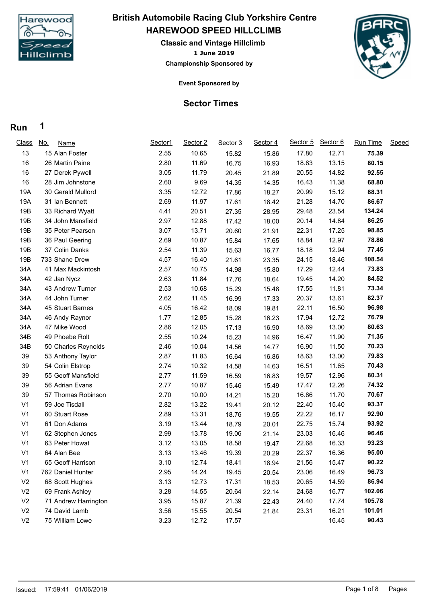

### **HAREWOOD SPEED HILLCLIMB British Automobile Racing Club Yorkshire Centre**

**1 June 2019 Classic and Vintage Hillclimb Championship Sponsored by**



**Event Sponsored by**

#### **Sector Times**

#### **Run 1**

| <b>Class</b>   | <u>No.</u><br><b>Name</b> | Sector1 | Sector 2 | Sector 3 | Sector 4 | Sector 5 | Sector 6 | <b>Run Time</b> | Speed |
|----------------|---------------------------|---------|----------|----------|----------|----------|----------|-----------------|-------|
| 13             | 15 Alan Foster            | 2.55    | 10.65    | 15.82    | 15.86    | 17.80    | 12.71    | 75.39           |       |
| 16             | 26 Martin Paine           | 2.80    | 11.69    | 16.75    | 16.93    | 18.83    | 13.15    | 80.15           |       |
| 16             | 27 Derek Pywell           | 3.05    | 11.79    | 20.45    | 21.89    | 20.55    | 14.82    | 92.55           |       |
| 16             | 28 Jim Johnstone          | 2.60    | 9.69     | 14.35    | 14.35    | 16.43    | 11.38    | 68.80           |       |
| 19A            | 30 Gerald Mullord         | 3.35    | 12.72    | 17.86    | 18.27    | 20.99    | 15.12    | 88.31           |       |
| 19A            | 31 Ian Bennett            | 2.69    | 11.97    | 17.61    | 18.42    | 21.28    | 14.70    | 86.67           |       |
| 19B            | 33 Richard Wyatt          | 4.41    | 20.51    | 27.35    | 28.95    | 29.48    | 23.54    | 134.24          |       |
| 19B            | 34 John Mansfield         | 2.97    | 12.88    | 17.42    | 18.00    | 20.14    | 14.84    | 86.25           |       |
| 19B            | 35 Peter Pearson          | 3.07    | 13.71    | 20.60    | 21.91    | 22.31    | 17.25    | 98.85           |       |
| 19B            | 36 Paul Geering           | 2.69    | 10.87    | 15.84    | 17.65    | 18.84    | 12.97    | 78.86           |       |
| 19B            | 37 Colin Danks            | 2.54    | 11.39    | 15.63    | 16.77    | 18.18    | 12.94    | 77.45           |       |
| 19B            | 733 Shane Drew            | 4.57    | 16.40    | 21.61    | 23.35    | 24.15    | 18.46    | 108.54          |       |
| 34A            | 41 Max Mackintosh         | 2.57    | 10.75    | 14.98    | 15.80    | 17.29    | 12.44    | 73.83           |       |
| 34A            | 42 Jan Nycz               | 2.63    | 11.84    | 17.76    | 18.64    | 19.45    | 14.20    | 84.52           |       |
| 34A            | 43 Andrew Turner          | 2.53    | 10.68    | 15.29    | 15.48    | 17.55    | 11.81    | 73.34           |       |
| 34A            | 44 John Turner            | 2.62    | 11.45    | 16.99    | 17.33    | 20.37    | 13.61    | 82.37           |       |
| 34A            | 45 Stuart Barnes          | 4.05    | 16.42    | 18.09    | 19.81    | 22.11    | 16.50    | 96.98           |       |
| 34A            | 46 Andy Raynor            | 1.77    | 12.85    | 15.28    | 16.23    | 17.94    | 12.72    | 76.79           |       |
| 34A            | 47 Mike Wood              | 2.86    | 12.05    | 17.13    | 16.90    | 18.69    | 13.00    | 80.63           |       |
| 34B            | 49 Phoebe Rolt            | 2.55    | 10.24    | 15.23    | 14.96    | 16.47    | 11.90    | 71.35           |       |
| 34B            | 50 Charles Reynolds       | 2.46    | 10.04    | 14.56    | 14.77    | 16.90    | 11.50    | 70.23           |       |
| 39             | 53 Anthony Taylor         | 2.87    | 11.83    | 16.64    | 16.86    | 18.63    | 13.00    | 79.83           |       |
| 39             | 54 Colin Elstrop          | 2.74    | 10.32    | 14.58    | 14.63    | 16.51    | 11.65    | 70.43           |       |
| 39             | 55 Geoff Mansfield        | 2.77    | 11.59    | 16.59    | 16.83    | 19.57    | 12.96    | 80.31           |       |
| 39             | 56 Adrian Evans           | 2.77    | 10.87    | 15.46    | 15.49    | 17.47    | 12.26    | 74.32           |       |
| 39             | 57 Thomas Robinson        | 2.70    | 10.00    | 14.21    | 15.20    | 16.86    | 11.70    | 70.67           |       |
| V <sub>1</sub> | 59 Joe Tisdall            | 2.82    | 13.22    | 19.41    | 20.12    | 22.40    | 15.40    | 93.37           |       |
| V <sub>1</sub> | 60 Stuart Rose            | 2.89    | 13.31    | 18.76    | 19.55    | 22.22    | 16.17    | 92.90           |       |
| V <sub>1</sub> | 61 Don Adams              | 3.19    | 13.44    | 18.79    | 20.01    | 22.75    | 15.74    | 93.92           |       |
| V <sub>1</sub> | 62 Stephen Jones          | 2.99    | 13.78    | 19.06    | 21.14    | 23.03    | 16.46    | 96.46           |       |
| V <sub>1</sub> | 63 Peter Howat            | 3.12    | 13.05    | 18.58    | 19.47    | 22.68    | 16.33    | 93.23           |       |
| V <sub>1</sub> | 64 Alan Bee               | 3.13    | 13.46    | 19.39    | 20.29    | 22.37    | 16.36    | 95.00           |       |
| V <sub>1</sub> | 65 Geoff Harrison         | 3.10    | 12.74    | 18.41    | 18.94    | 21.56    | 15.47    | 90.22           |       |
| V <sub>1</sub> | 762 Daniel Hunter         | 2.95    | 14.24    | 19.45    | 20.54    | 23.06    | 16.49    | 96.73           |       |
| V <sub>2</sub> | 68 Scott Hughes           | 3.13    | 12.73    | 17.31    | 18.53    | 20.65    | 14.59    | 86.94           |       |
| V <sub>2</sub> | 69 Frank Ashley           | 3.28    | 14.55    | 20.64    | 22.14    | 24.68    | 16.77    | 102.06          |       |
| V <sub>2</sub> | 71 Andrew Harrington      | 3.95    | 15.87    | 21.39    | 22.43    | 24.40    | 17.74    | 105.78          |       |
| V <sub>2</sub> | 74 David Lamb             | 3.56    | 15.55    | 20.54    | 21.84    | 23.31    | 16.21    | 101.01          |       |
| V <sub>2</sub> | 75 William Lowe           | 3.23    | 12.72    | 17.57    |          |          | 16.45    | 90.43           |       |
|                |                           |         |          |          |          |          |          |                 |       |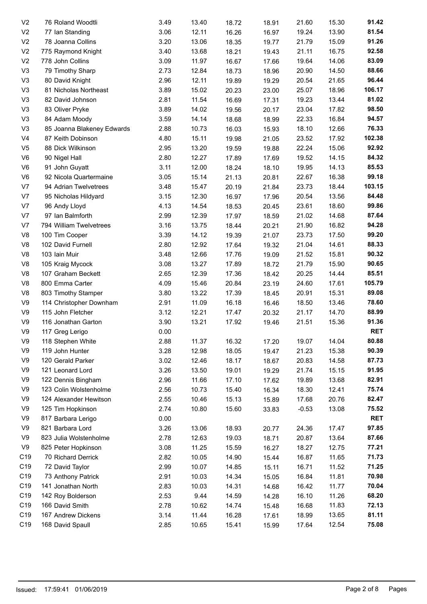| V <sub>2</sub> | 76 Roland Woodtli          | 3.49 | 13.40 | 18.72 | 18.91 | 21.60   | 15.30 | 91.42      |
|----------------|----------------------------|------|-------|-------|-------|---------|-------|------------|
| V <sub>2</sub> | 77 Ian Standing            | 3.06 | 12.11 | 16.26 | 16.97 | 19.24   | 13.90 | 81.54      |
| V <sub>2</sub> | 78 Joanna Collins          | 3.20 | 13.06 | 18.35 | 19.77 | 21.79   | 15.09 | 91.26      |
| V <sub>2</sub> | 775 Raymond Knight         | 3.40 | 13.68 | 18.21 | 19.43 | 21.11   | 16.75 | 92.58      |
| V <sub>2</sub> | 778 John Collins           | 3.09 | 11.97 | 16.67 | 17.66 | 19.64   | 14.06 | 83.09      |
| V <sub>3</sub> | 79 Timothy Sharp           | 2.73 | 12.84 | 18.73 | 18.96 | 20.90   | 14.50 | 88.66      |
| V <sub>3</sub> | 80 David Knight            | 2.96 | 12.11 | 19.89 | 19.29 | 20.54   | 21.65 | 96.44      |
| V <sub>3</sub> | 81 Nicholas Northeast      | 3.89 | 15.02 | 20.23 | 23.00 | 25.07   | 18.96 | 106.17     |
| V <sub>3</sub> | 82 David Johnson           | 2.81 | 11.54 | 16.69 | 17.31 | 19.23   | 13.44 | 81.02      |
| V <sub>3</sub> | 83 Oliver Pryke            | 3.89 | 14.02 | 19.56 | 20.17 | 23.04   | 17.82 | 98.50      |
| V <sub>3</sub> | 84 Adam Moody              | 3.59 | 14.14 | 18.68 | 18.99 | 22.33   | 16.84 | 94.57      |
| V <sub>3</sub> | 85 Joanna Blakeney Edwards | 2.88 | 10.73 | 16.03 | 15.93 | 18.10   | 12.66 | 76.33      |
| V <sub>4</sub> | 87 Keith Dobinson          | 4.80 | 15.11 | 19.98 | 21.05 | 23.52   | 17.92 | 102.38     |
| V <sub>5</sub> | 88 Dick Wilkinson          | 2.95 | 13.20 | 19.59 | 19.88 | 22.24   | 15.06 | 92.92      |
| V <sub>6</sub> | 90 Nigel Hall              | 2.80 | 12.27 | 17.89 | 17.69 | 19.52   | 14.15 | 84.32      |
| V <sub>6</sub> | 91 John Guyatt             | 3.11 | 12.00 | 18.24 | 18.10 | 19.95   | 14.13 | 85.53      |
| V <sub>6</sub> | 92 Nicola Quartermaine     | 3.05 | 15.14 | 21.13 | 20.81 | 22.67   | 16.38 | 99.18      |
| V <sub>7</sub> | 94 Adrian Twelvetrees      | 3.48 | 15.47 | 20.19 | 21.84 | 23.73   | 18.44 | 103.15     |
| V7             | 95 Nicholas Hildyard       | 3.15 | 12.30 | 16.97 | 17.96 | 20.54   | 13.56 | 84.48      |
| V7             | 96 Andy Lloyd              | 4.13 | 14.54 | 18.53 | 20.45 | 23.61   | 18.60 | 99.86      |
| V7             | 97 Ian Balmforth           | 2.99 | 12.39 | 17.97 | 18.59 | 21.02   | 14.68 | 87.64      |
| V7             | 794 William Twelvetrees    | 3.16 | 13.75 | 18.44 | 20.21 | 21.90   | 16.82 | 94.28      |
| V <sub>8</sub> | 100 Tim Cooper             | 3.39 | 14.12 | 19.39 | 21.07 | 23.73   | 17.50 | 99.20      |
| V <sub>8</sub> | 102 David Furnell          | 2.80 | 12.92 | 17.64 |       | 21.04   | 14.61 | 88.33      |
| V <sub>8</sub> | 103 Iain Muir              | 3.48 | 12.66 |       | 19.32 | 21.52   | 15.81 | 90.32      |
|                |                            |      |       | 17.76 | 19.09 |         |       | 90.65      |
| V <sub>8</sub> | 105 Kraig Mycock           | 3.08 | 13.27 | 17.89 | 18.72 | 21.79   | 15.90 |            |
| V <sub>8</sub> | 107 Graham Beckett         | 2.65 | 12.39 | 17.36 | 18.42 | 20.25   | 14.44 | 85.51      |
| V <sub>8</sub> | 800 Emma Carter            | 4.09 | 15.46 | 20.84 | 23.19 | 24.60   | 17.61 | 105.79     |
| V <sub>8</sub> | 803 Timothy Stamper        | 3.80 | 13.22 | 17.39 | 18.45 | 20.91   | 15.31 | 89.08      |
| V <sub>9</sub> | 114 Christopher Downham    | 2.91 | 11.09 | 16.18 | 16.46 | 18.50   | 13.46 | 78.60      |
| V9             | 115 John Fletcher          | 3.12 | 12.21 | 17.47 | 20.32 | 21.17   | 14.70 | 88.99      |
| V9             | 116 Jonathan Garton        | 3.90 | 13.21 | 17.92 | 19.46 | 21.51   | 15.36 | 91.36      |
| V <sub>9</sub> | 117 Greg Lerigo            | 0.00 |       |       |       |         |       | <b>RET</b> |
| V9             | 118 Stephen White          | 2.88 | 11.37 | 16.32 | 17.20 | 19.07   | 14.04 | 80.88      |
| V9             | 119 John Hunter            | 3.28 | 12.98 | 18.05 | 19.47 | 21.23   | 15.38 | 90.39      |
| V9             | 120 Gerald Parker          | 3.02 | 12.46 | 18.17 | 18.67 | 20.83   | 14.58 | 87.73      |
| V9             | 121 Leonard Lord           | 3.26 | 13.50 | 19.01 | 19.29 | 21.74   | 15.15 | 91.95      |
| V9             | 122 Dennis Bingham         | 2.96 | 11.66 | 17.10 | 17.62 | 19.89   | 13.68 | 82.91      |
| V9             | 123 Colin Wolstenholme     | 2.56 | 10.73 | 15.40 | 16.34 | 18.30   | 12.41 | 75.74      |
| V9             | 124 Alexander Hewitson     | 2.55 | 10.46 | 15.13 | 15.89 | 17.68   | 20.76 | 82.47      |
| V9             | 125 Tim Hopkinson          | 2.74 | 10.80 | 15.60 | 33.83 | $-0.53$ | 13.08 | 75.52      |
| V9             | 817 Barbara Lerigo         | 0.00 |       |       |       |         |       | <b>RET</b> |
| V9             | 821 Barbara Lord           | 3.26 | 13.06 | 18.93 | 20.77 | 24.36   | 17.47 | 97.85      |
| V9             | 823 Julia Wolstenholme     | 2.78 | 12.63 | 19.03 | 18.71 | 20.87   | 13.64 | 87.66      |
| V <sub>9</sub> | 825 Peter Hopkinson        | 3.08 | 11.25 | 15.59 | 16.27 | 18.27   | 12.75 | 77.21      |
| C19            | 70 Richard Derrick         | 2.82 | 10.05 | 14.90 | 15.44 | 16.87   | 11.65 | 71.73      |
| C19            | 72 David Taylor            | 2.99 | 10.07 | 14.85 | 15.11 | 16.71   | 11.52 | 71.25      |
| C19            | 73 Anthony Patrick         | 2.91 | 10.03 | 14.34 | 15.05 | 16.84   | 11.81 | 70.98      |
| C19            | 141 Jonathan North         | 2.83 | 10.03 | 14.31 | 14.68 | 16.42   | 11.77 | 70.04      |
| C19            | 142 Roy Bolderson          | 2.53 | 9.44  | 14.59 | 14.28 | 16.10   | 11.26 | 68.20      |
| C19            | 166 David Smith            | 2.78 | 10.62 | 14.74 | 15.48 | 16.68   | 11.83 | 72.13      |
| C19            | 167 Andrew Dickens         | 3.14 | 11.44 | 16.28 | 17.61 | 18.99   | 13.65 | 81.11      |
| C19            | 168 David Spaull           | 2.85 | 10.65 | 15.41 | 15.99 | 17.64   | 12.54 | 75.08      |
|                |                            |      |       |       |       |         |       |            |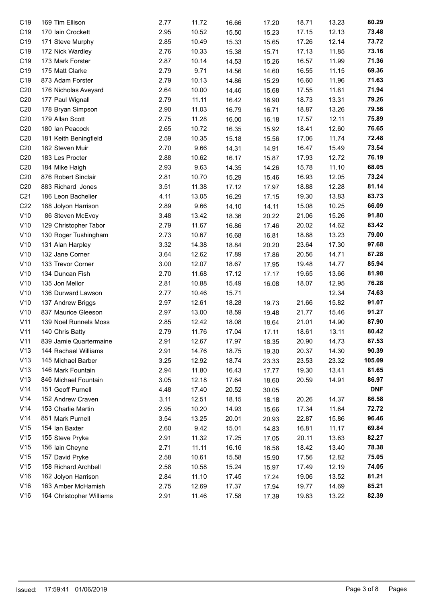| C <sub>19</sub> | 169 Tim Ellison          | 2.77 | 11.72 | 16.66 | 17.20 | 18.71 | 13.23 | 80.29      |
|-----------------|--------------------------|------|-------|-------|-------|-------|-------|------------|
| C19             | 170 Iain Crockett        | 2.95 | 10.52 | 15.50 | 15.23 | 17.15 | 12.13 | 73.48      |
| C <sub>19</sub> | 171 Steve Murphy         | 2.85 | 10.49 | 15.33 | 15.65 | 17.26 | 12.14 | 73.72      |
| C <sub>19</sub> | 172 Nick Wardley         | 2.76 | 10.33 | 15.38 | 15.71 | 17.13 | 11.85 | 73.16      |
| C <sub>19</sub> | 173 Mark Forster         | 2.87 | 10.14 | 14.53 | 15.26 | 16.57 | 11.99 | 71.36      |
| C <sub>19</sub> | 175 Matt Clarke          | 2.79 | 9.71  | 14.56 | 14.60 | 16.55 | 11.15 | 69.36      |
| C <sub>19</sub> | 873 Adam Forster         | 2.79 | 10.13 | 14.86 | 15.29 | 16.60 | 11.96 | 71.63      |
| C <sub>20</sub> | 176 Nicholas Aveyard     | 2.64 | 10.00 | 14.46 | 15.68 | 17.55 | 11.61 | 71.94      |
| C <sub>20</sub> | 177 Paul Wignall         | 2.79 | 11.11 | 16.42 | 16.90 | 18.73 | 13.31 | 79.26      |
| C <sub>20</sub> | 178 Bryan Simpson        | 2.90 | 11.03 | 16.79 | 16.71 | 18.87 | 13.26 | 79.56      |
| C <sub>20</sub> | 179 Allan Scott          | 2.75 | 11.28 | 16.00 | 16.18 | 17.57 | 12.11 | 75.89      |
| C <sub>20</sub> | 180 Ian Peacock          | 2.65 | 10.72 | 16.35 | 15.92 | 18.41 | 12.60 | 76.65      |
| C <sub>20</sub> | 181 Keith Beningfield    | 2.59 | 10.35 | 15.18 | 15.56 | 17.06 | 11.74 | 72.48      |
| C <sub>20</sub> | 182 Steven Muir          | 2.70 | 9.66  | 14.31 | 14.91 | 16.47 | 15.49 | 73.54      |
| C <sub>20</sub> | 183 Les Procter          | 2.88 | 10.62 | 16.17 | 15.87 | 17.93 | 12.72 | 76.19      |
| C <sub>20</sub> | 184 Mike Haigh           | 2.93 | 9.63  | 14.35 | 14.26 | 15.78 | 11.10 | 68.05      |
| C <sub>20</sub> | 876 Robert Sinclair      | 2.81 | 10.70 | 15.29 | 15.46 | 16.93 | 12.05 | 73.24      |
| C <sub>20</sub> | 883 Richard Jones        | 3.51 | 11.38 | 17.12 | 17.97 | 18.88 | 12.28 | 81.14      |
| C <sub>21</sub> | 186 Leon Bachelier       | 4.11 | 13.05 | 16.29 | 17.15 | 19.30 | 13.83 | 83.73      |
| C <sub>22</sub> | 188 Jolyon Harrison      | 2.89 | 9.66  | 14.10 | 14.11 | 15.08 | 10.25 | 66.09      |
| V10             | 86 Steven McEvoy         | 3.48 | 13.42 | 18.36 | 20.22 | 21.06 | 15.26 | 91.80      |
| V10             | 129 Christopher Tabor    | 2.79 | 11.67 | 16.86 | 17.46 | 20.02 | 14.62 | 83.42      |
| V10             | 130 Roger Tushingham     | 2.73 | 10.67 | 16.68 | 16.81 | 18.88 | 13.23 | 79.00      |
| V10             | 131 Alan Harpley         | 3.32 | 14.38 | 18.84 | 20.20 | 23.64 | 17.30 | 97.68      |
| V10             | 132 Jane Corner          | 3.64 | 12.62 | 17.89 | 17.86 | 20.56 | 14.71 | 87.28      |
| V10             | 133 Trevor Corner        | 3.00 | 12.07 | 18.67 | 17.95 | 19.48 | 14.77 | 85.94      |
| V10             | 134 Duncan Fish          | 2.70 | 11.68 | 17.12 | 17.17 | 19.65 | 13.66 | 81.98      |
| V10             | 135 Jon Mellor           | 2.81 | 10.88 | 15.49 | 16.08 | 18.07 | 12.95 | 76.28      |
| V10             | 136 Durward Lawson       | 2.77 | 10.46 | 15.71 |       |       | 12.34 | 74.63      |
| V10             | 137 Andrew Briggs        | 2.97 | 12.61 | 18.28 | 19.73 | 21.66 | 15.82 | 91.07      |
| V10             | 837 Maurice Gleeson      | 2.97 | 13.00 | 18.59 | 19.48 | 21.77 | 15.46 | 91.27      |
| V11             | 139 Noel Runnels Moss    | 2.85 | 12.42 | 18.08 | 18.64 | 21.01 | 14.90 | 87.90      |
| V11             | 140 Chris Batty          | 2.79 | 11.76 | 17.04 | 17.11 | 18.61 | 13.11 | 80.42      |
| V11             | 839 Jamie Quartermaine   | 2.91 | 12.67 | 17.97 | 18.35 | 20.90 | 14.73 | 87.53      |
| V13             | 144 Rachael Williams     | 2.91 | 14.76 | 18.75 | 19.30 | 20.37 | 14.30 | 90.39      |
| V13             | 145 Michael Barber       | 3.25 | 12.92 | 18.74 | 23.33 | 23.53 | 23.32 | 105.09     |
| V13             | 146 Mark Fountain        | 2.94 | 11.80 | 16.43 | 17.77 | 19.30 | 13.41 | 81.65      |
| V13             | 846 Michael Fountain     | 3.05 | 12.18 | 17.64 | 18.60 | 20.59 | 14.91 | 86.97      |
| V14             | 151 Geoff Purnell        | 4.48 | 17.40 | 20.52 | 30.05 |       |       | <b>DNF</b> |
| V14             | 152 Andrew Craven        | 3.11 | 12.51 | 18.15 | 18.18 | 20.26 | 14.37 | 86.58      |
| V14             | 153 Charlie Martin       | 2.95 | 10.20 | 14.93 | 15.66 | 17.34 | 11.64 | 72.72      |
| V14             | 851 Mark Purnell         | 3.54 | 13.25 | 20.01 | 20.93 | 22.87 | 15.86 | 96.46      |
| V15             | 154 Ian Baxter           | 2.60 | 9.42  | 15.01 | 14.83 | 16.81 | 11.17 | 69.84      |
| V15             | 155 Steve Pryke          | 2.91 | 11.32 | 17.25 | 17.05 | 20.11 | 13.63 | 82.27      |
| V15             | 156 Iain Cheyne          | 2.71 | 11.11 | 16.16 | 16.58 | 18.42 | 13.40 | 78.38      |
| V15             | 157 David Pryke          | 2.58 | 10.61 | 15.58 | 15.90 | 17.56 | 12.82 | 75.05      |
| V15             | 158 Richard Archbell     | 2.58 | 10.58 | 15.24 | 15.97 | 17.49 | 12.19 | 74.05      |
| V16             | 162 Jolyon Harrison      | 2.84 | 11.10 | 17.45 | 17.24 | 19.06 | 13.52 | 81.21      |
| V16             | 163 Amber McHamish       | 2.75 | 12.69 | 17.37 | 17.94 | 19.77 | 14.69 | 85.21      |
| V16             | 164 Christopher Williams | 2.91 | 11.46 | 17.58 | 17.39 | 19.83 | 13.22 | 82.39      |
|                 |                          |      |       |       |       |       |       |            |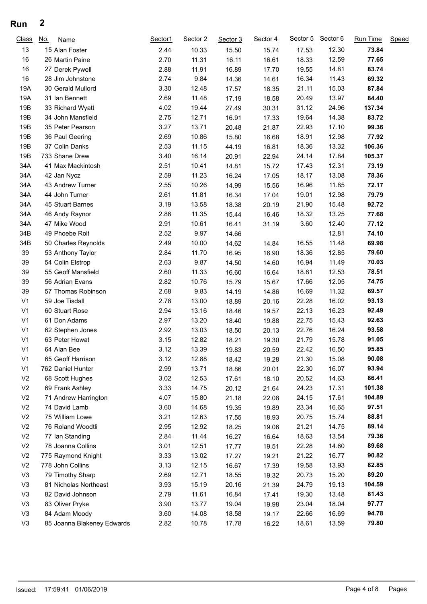## **Run 2**

| Class          | No. | Name                       | Sector1 | Sector 2 | Sector 3 | Sector 4 | Sector 5 | Sector 6 | Run Time | Speed |
|----------------|-----|----------------------------|---------|----------|----------|----------|----------|----------|----------|-------|
| 13             |     | 15 Alan Foster             | 2.44    | 10.33    | 15.50    | 15.74    | 17.53    | 12.30    | 73.84    |       |
| 16             |     | 26 Martin Paine            | 2.70    | 11.31    | 16.11    | 16.61    | 18.33    | 12.59    | 77.65    |       |
| 16             |     | 27 Derek Pywell            | 2.88    | 11.91    | 16.89    | 17.70    | 19.55    | 14.81    | 83.74    |       |
| 16             |     | 28 Jim Johnstone           | 2.74    | 9.84     | 14.36    | 14.61    | 16.34    | 11.43    | 69.32    |       |
| 19A            |     | 30 Gerald Mullord          | 3.30    | 12.48    | 17.57    | 18.35    | 21.11    | 15.03    | 87.84    |       |
| 19A            |     | 31 Ian Bennett             | 2.69    | 11.48    | 17.19    | 18.58    | 20.49    | 13.97    | 84.40    |       |
| 19B            |     | 33 Richard Wyatt           | 4.02    | 19.44    | 27.49    | 30.31    | 31.12    | 24.96    | 137.34   |       |
| 19B            |     | 34 John Mansfield          | 2.75    | 12.71    | 16.91    | 17.33    | 19.64    | 14.38    | 83.72    |       |
| 19B            |     | 35 Peter Pearson           | 3.27    | 13.71    | 20.48    | 21.87    | 22.93    | 17.10    | 99.36    |       |
| 19B            |     | 36 Paul Geering            | 2.69    | 10.86    | 15.80    | 16.68    | 18.91    | 12.98    | 77.92    |       |
| 19B            |     | 37 Colin Danks             | 2.53    | 11.15    | 44.19    | 16.81    | 18.36    | 13.32    | 106.36   |       |
| 19B            |     | 733 Shane Drew             | 3.40    | 16.14    | 20.91    | 22.94    | 24.14    | 17.84    | 105.37   |       |
| 34A            |     | 41 Max Mackintosh          | 2.51    | 10.41    | 14.81    | 15.72    | 17.43    | 12.31    | 73.19    |       |
| 34A            |     | 42 Jan Nycz                | 2.59    | 11.23    | 16.24    | 17.05    | 18.17    | 13.08    | 78.36    |       |
| 34A            |     | 43 Andrew Turner           | 2.55    | 10.26    | 14.99    | 15.56    | 16.96    | 11.85    | 72.17    |       |
| 34A            |     | 44 John Turner             | 2.61    | 11.81    | 16.34    | 17.04    | 19.01    | 12.98    | 79.79    |       |
| 34A            |     | 45 Stuart Barnes           | 3.19    | 13.58    | 18.38    | 20.19    | 21.90    | 15.48    | 92.72    |       |
| 34A            |     | 46 Andy Raynor             | 2.86    | 11.35    | 15.44    | 16.46    | 18.32    | 13.25    | 77.68    |       |
| 34A            |     | 47 Mike Wood               | 2.91    | 10.61    | 16.41    | 31.19    | 3.60     | 12.40    | 77.12    |       |
| 34B            |     | 49 Phoebe Rolt             | 2.52    | 9.97     | 14.66    |          |          | 12.81    | 74.10    |       |
| 34B            |     | 50 Charles Reynolds        | 2.49    | 10.00    | 14.62    | 14.84    | 16.55    | 11.48    | 69.98    |       |
| 39             |     | 53 Anthony Taylor          | 2.84    | 11.70    | 16.95    | 16.90    | 18.36    | 12.85    | 79.60    |       |
| 39             |     | 54 Colin Elstrop           | 2.63    | 9.87     | 14.50    | 14.60    | 16.94    | 11.49    | 70.03    |       |
| 39             |     | 55 Geoff Mansfield         | 2.60    | 11.33    | 16.60    | 16.64    | 18.81    | 12.53    | 78.51    |       |
| 39             |     | 56 Adrian Evans            | 2.82    | 10.76    | 15.79    | 15.67    | 17.66    | 12.05    | 74.75    |       |
| 39             |     | 57 Thomas Robinson         | 2.68    | 9.83     | 14.19    | 14.86    | 16.69    | 11.32    | 69.57    |       |
| V <sub>1</sub> |     | 59 Joe Tisdall             | 2.78    | 13.00    | 18.89    | 20.16    | 22.28    | 16.02    | 93.13    |       |
| V <sub>1</sub> |     | 60 Stuart Rose             | 2.94    | 13.16    | 18.46    | 19.57    | 22.13    | 16.23    | 92.49    |       |
| V <sub>1</sub> |     | 61 Don Adams               | 2.97    | 13.20    | 18.40    | 19.88    | 22.75    | 15.43    | 92.63    |       |
| V <sub>1</sub> |     | 62 Stephen Jones           | 2.92    | 13.03    | 18.50    | 20.13    | 22.76    | 16.24    | 93.58    |       |
| V <sub>1</sub> |     | 63 Peter Howat             | 3.15    | 12.82    | 18.21    | 19.30    | 21.79    | 15.78    | 91.05    |       |
| V <sub>1</sub> |     | 64 Alan Bee                | 3.12    | 13.39    | 19.83    | 20.59    | 22.42    | 16.50    | 95.85    |       |
| V <sub>1</sub> |     | 65 Geoff Harrison          | 3.12    | 12.88    | 18.42    | 19.28    | 21.30    | 15.08    | 90.08    |       |
| V <sub>1</sub> |     | 762 Daniel Hunter          | 2.99    | 13.71    | 18.86    | 20.01    | 22.30    | 16.07    | 93.94    |       |
| V <sub>2</sub> |     | 68 Scott Hughes            | 3.02    | 12.53    | 17.61    | 18.10    | 20.52    | 14.63    | 86.41    |       |
| V <sub>2</sub> |     | 69 Frank Ashley            | 3.33    | 14.75    | 20.12    | 21.64    | 24.23    | 17.31    | 101.38   |       |
| V <sub>2</sub> |     | 71 Andrew Harrington       | 4.07    | 15.80    | 21.18    | 22.08    | 24.15    | 17.61    | 104.89   |       |
| V <sub>2</sub> |     | 74 David Lamb              | 3.60    | 14.68    | 19.35    | 19.89    | 23.34    | 16.65    | 97.51    |       |
| V <sub>2</sub> |     | 75 William Lowe            | 3.21    | 12.63    | 17.55    | 18.93    | 20.75    | 15.74    | 88.81    |       |
| V <sub>2</sub> |     | 76 Roland Woodtli          | 2.95    | 12.92    | 18.25    | 19.06    | 21.21    | 14.75    | 89.14    |       |
| V <sub>2</sub> |     | 77 Ian Standing            | 2.84    | 11.44    | 16.27    | 16.64    | 18.63    | 13.54    | 79.36    |       |
| V <sub>2</sub> |     | 78 Joanna Collins          | 3.01    | 12.51    | 17.77    | 19.51    | 22.28    | 14.60    | 89.68    |       |
| V <sub>2</sub> |     | 775 Raymond Knight         | 3.33    | 13.02    | 17.27    | 19.21    | 21.22    | 16.77    | 90.82    |       |
| V <sub>2</sub> |     | 778 John Collins           | 3.13    | 12.15    | 16.67    | 17.39    | 19.58    | 13.93    | 82.85    |       |
| V <sub>3</sub> |     | 79 Timothy Sharp           | 2.69    | 12.71    | 18.55    | 19.32    | 20.73    | 15.20    | 89.20    |       |
| V <sub>3</sub> |     | 81 Nicholas Northeast      | 3.93    | 15.19    | 20.16    | 21.39    | 24.79    | 19.13    | 104.59   |       |
| V <sub>3</sub> |     | 82 David Johnson           | 2.79    | 11.61    | 16.84    | 17.41    | 19.30    | 13.48    | 81.43    |       |
| V <sub>3</sub> |     | 83 Oliver Pryke            | 3.90    | 13.77    | 19.04    | 19.98    | 23.04    | 18.04    | 97.77    |       |
| V <sub>3</sub> |     | 84 Adam Moody              | 3.60    | 14.08    | 18.58    | 19.17    | 22.66    | 16.69    | 94.78    |       |
| V3             |     | 85 Joanna Blakeney Edwards | 2.82    | 10.78    | 17.78    | 16.22    | 18.61    | 13.59    | 79.80    |       |
|                |     |                            |         |          |          |          |          |          |          |       |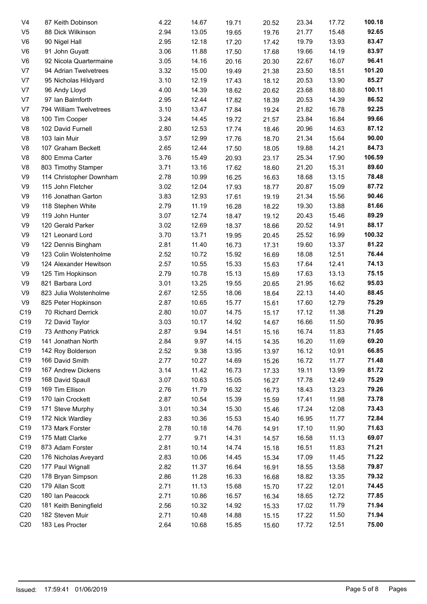| V <sub>4</sub>  | 87 Keith Dobinson       | 4.22 | 14.67 | 19.71 | 20.52 | 23.34 | 17.72 | 100.18 |
|-----------------|-------------------------|------|-------|-------|-------|-------|-------|--------|
| V <sub>5</sub>  | 88 Dick Wilkinson       | 2.94 | 13.05 | 19.65 | 19.76 | 21.77 | 15.48 | 92.65  |
| V6              | 90 Nigel Hall           | 2.95 | 12.18 | 17.20 | 17.42 | 19.79 | 13.93 | 83.47  |
| V6              | 91 John Guyatt          | 3.06 | 11.88 | 17.50 | 17.68 | 19.66 | 14.19 | 83.97  |
| V <sub>6</sub>  | 92 Nicola Quartermaine  | 3.05 | 14.16 | 20.16 | 20.30 | 22.67 | 16.07 | 96.41  |
| V <sub>7</sub>  | 94 Adrian Twelvetrees   | 3.32 | 15.00 | 19.49 | 21.38 | 23.50 | 18.51 | 101.20 |
| V <sub>7</sub>  | 95 Nicholas Hildyard    | 3.10 | 12.19 | 17.43 | 18.12 | 20.53 | 13.90 | 85.27  |
| V7              | 96 Andy Lloyd           | 4.00 | 14.39 | 18.62 | 20.62 | 23.68 | 18.80 | 100.11 |
| V7              | 97 Ian Balmforth        | 2.95 | 12.44 | 17.82 | 18.39 | 20.53 | 14.39 | 86.52  |
| V <sub>7</sub>  | 794 William Twelvetrees | 3.10 | 13.47 | 17.84 | 19.24 | 21.82 | 16.78 | 92.25  |
| V <sub>8</sub>  | 100 Tim Cooper          | 3.24 | 14.45 | 19.72 | 21.57 | 23.84 | 16.84 | 99.66  |
| V <sub>8</sub>  | 102 David Furnell       | 2.80 | 12.53 | 17.74 | 18.46 | 20.96 | 14.63 | 87.12  |
| V8              | 103 Iain Muir           | 3.57 | 12.99 | 17.76 | 18.70 | 21.34 | 15.64 | 90.00  |
| V8              | 107 Graham Beckett      | 2.65 | 12.44 | 17.50 | 18.05 | 19.88 | 14.21 | 84.73  |
| V8              | 800 Emma Carter         | 3.76 | 15.49 | 20.93 | 23.17 | 25.34 | 17.90 | 106.59 |
| V <sub>8</sub>  | 803 Timothy Stamper     | 3.71 | 13.16 | 17.62 | 18.60 | 21.20 | 15.31 | 89.60  |
| V9              | 114 Christopher Downham | 2.78 | 10.99 | 16.25 | 16.63 | 18.68 | 13.15 | 78.48  |
| V9              | 115 John Fletcher       | 3.02 | 12.04 | 17.93 | 18.77 | 20.87 | 15.09 | 87.72  |
| V9              | 116 Jonathan Garton     | 3.83 | 12.93 | 17.61 | 19.19 | 21.34 | 15.56 | 90.46  |
| V9              | 118 Stephen White       | 2.79 | 11.19 | 16.28 | 18.22 | 19.30 | 13.88 | 81.66  |
| V9              | 119 John Hunter         | 3.07 | 12.74 | 18.47 | 19.12 | 20.43 | 15.46 | 89.29  |
| V9              | 120 Gerald Parker       | 3.02 | 12.69 | 18.37 | 18.66 | 20.52 | 14.91 | 88.17  |
| V9              | 121 Leonard Lord        | 3.70 | 13.71 | 19.95 | 20.45 | 25.52 | 16.99 | 100.32 |
| V9              | 122 Dennis Bingham      | 2.81 | 11.40 | 16.73 | 17.31 | 19.60 | 13.37 | 81.22  |
| V9              | 123 Colin Wolstenholme  | 2.52 | 10.72 | 15.92 | 16.69 | 18.08 | 12.51 | 76.44  |
| V9              | 124 Alexander Hewitson  | 2.57 | 10.55 | 15.33 | 15.63 | 17.64 | 12.41 | 74.13  |
| V9              | 125 Tim Hopkinson       | 2.79 | 10.78 |       |       | 17.63 | 13.13 | 75.15  |
| V9              |                         | 3.01 |       | 15.13 | 15.69 |       |       | 95.03  |
|                 | 821 Barbara Lord        |      | 13.25 | 19.55 | 20.65 | 21.95 | 16.62 |        |
| V <sub>9</sub>  | 823 Julia Wolstenholme  | 2.67 | 12.55 | 18.06 | 18.64 | 22.13 | 14.40 | 88.45  |
| V9              | 825 Peter Hopkinson     | 2.87 | 10.65 | 15.77 | 15.61 | 17.60 | 12.79 | 75.29  |
| C19             | 70 Richard Derrick      | 2.80 | 10.07 | 14.75 | 15.17 | 17.12 | 11.38 | 71.29  |
| C19             | 72 David Taylor         | 3.03 | 10.17 | 14.92 | 14.67 | 16.66 | 11.50 | 70.95  |
| C19             | 73 Anthony Patrick      | 2.87 | 9.94  | 14.51 | 15.16 | 16.74 | 11.83 | 71.05  |
| C19             | 141 Jonathan North      | 2.84 | 9.97  | 14.15 | 14.35 | 16.20 | 11.69 | 69.20  |
| C19             | 142 Roy Bolderson       | 2.52 | 9.38  | 13.95 | 13.97 | 16.12 | 10.91 | 66.85  |
| C19             | 166 David Smith         | 2.77 | 10.27 | 14.69 | 15.26 | 16.72 | 11.77 | 71.48  |
| C19             | 167 Andrew Dickens      | 3.14 | 11.42 | 16.73 | 17.33 | 19.11 | 13.99 | 81.72  |
| C19             | 168 David Spaull        | 3.07 | 10.63 | 15.05 | 16.27 | 17.78 | 12.49 | 75.29  |
| C19             | 169 Tim Ellison         | 2.76 | 11.79 | 16.32 | 16.73 | 18.43 | 13.23 | 79.26  |
| C19             | 170 Iain Crockett       | 2.87 | 10.54 | 15.39 | 15.59 | 17.41 | 11.98 | 73.78  |
| C19             | 171 Steve Murphy        | 3.01 | 10.34 | 15.30 | 15.46 | 17.24 | 12.08 | 73.43  |
| C19             | 172 Nick Wardley        | 2.83 | 10.36 | 15.53 | 15.40 | 16.95 | 11.77 | 72.84  |
| C19             | 173 Mark Forster        | 2.78 | 10.18 | 14.76 | 14.91 | 17.10 | 11.90 | 71.63  |
| C19             | 175 Matt Clarke         | 2.77 | 9.71  | 14.31 | 14.57 | 16.58 | 11.13 | 69.07  |
| C19             | 873 Adam Forster        | 2.81 | 10.14 | 14.74 | 15.18 | 16.51 | 11.83 | 71.21  |
| C <sub>20</sub> | 176 Nicholas Aveyard    | 2.83 | 10.06 | 14.45 | 15.34 | 17.09 | 11.45 | 71.22  |
| C <sub>20</sub> | 177 Paul Wignall        | 2.82 | 11.37 | 16.64 | 16.91 | 18.55 | 13.58 | 79.87  |
| C <sub>20</sub> | 178 Bryan Simpson       | 2.86 | 11.28 | 16.33 | 16.68 | 18.82 | 13.35 | 79.32  |
| C <sub>20</sub> | 179 Allan Scott         | 2.71 | 11.13 | 15.68 | 15.70 | 17.22 | 12.01 | 74.45  |
| C <sub>20</sub> | 180 Ian Peacock         | 2.71 | 10.86 | 16.57 | 16.34 | 18.65 | 12.72 | 77.85  |
| C <sub>20</sub> | 181 Keith Beningfield   | 2.56 | 10.32 | 14.92 | 15.33 | 17.02 | 11.79 | 71.94  |
| C <sub>20</sub> | 182 Steven Muir         | 2.71 | 10.48 | 14.88 | 15.15 | 17.22 | 11.50 | 71.94  |
| C <sub>20</sub> | 183 Les Procter         | 2.64 | 10.68 | 15.85 | 15.60 | 17.72 | 12.51 | 75.00  |
|                 |                         |      |       |       |       |       |       |        |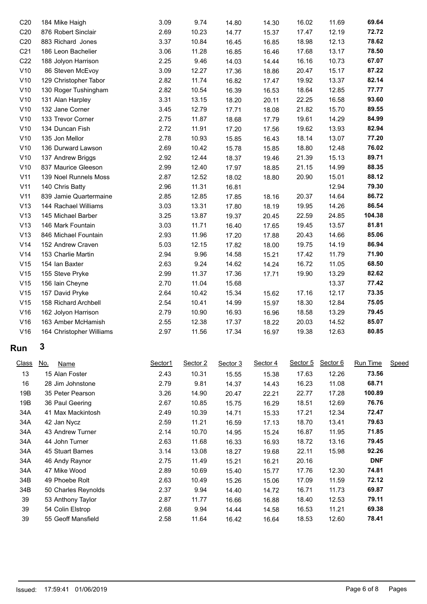| C <sub>20</sub> | 184 Mike Haigh           | 3.09 | 9.74  | 14.80 | 14.30 | 16.02 | 11.69 | 69.64  |
|-----------------|--------------------------|------|-------|-------|-------|-------|-------|--------|
| C20             | 876 Robert Sinclair      | 2.69 | 10.23 | 14.77 | 15.37 | 17.47 | 12.19 | 72.72  |
| C <sub>20</sub> | 883 Richard Jones        | 3.37 | 10.84 | 16.45 | 16.85 | 18.98 | 12.13 | 78.62  |
| C <sub>21</sub> | 186 Leon Bachelier       | 3.06 | 11.28 | 16.85 | 16.46 | 17.68 | 13.17 | 78.50  |
| C <sub>22</sub> | 188 Jolyon Harrison      | 2.25 | 9.46  | 14.03 | 14.44 | 16.16 | 10.73 | 67.07  |
| V10             | 86 Steven McEvoy         | 3.09 | 12.27 | 17.36 | 18.86 | 20.47 | 15.17 | 87.22  |
| V10             | 129 Christopher Tabor    | 2.82 | 11.74 | 16.82 | 17.47 | 19.92 | 13.37 | 82.14  |
| V10             | 130 Roger Tushingham     | 2.82 | 10.54 | 16.39 | 16.53 | 18.64 | 12.85 | 77.77  |
| V10             | 131 Alan Harpley         | 3.31 | 13.15 | 18.20 | 20.11 | 22.25 | 16.58 | 93.60  |
| V10             | 132 Jane Corner          | 3.45 | 12.79 | 17.71 | 18.08 | 21.82 | 15.70 | 89.55  |
| V10             | 133 Trevor Corner        | 2.75 | 11.87 | 18.68 | 17.79 | 19.61 | 14.29 | 84.99  |
| V10             | 134 Duncan Fish          | 2.72 | 11.91 | 17.20 | 17.56 | 19.62 | 13.93 | 82.94  |
| V10             | 135 Jon Mellor           | 2.78 | 10.93 | 15.85 | 16.43 | 18.14 | 13.07 | 77.20  |
| V10             | 136 Durward Lawson       | 2.69 | 10.42 | 15.78 | 15.85 | 18.80 | 12.48 | 76.02  |
| V10             | 137 Andrew Briggs        | 2.92 | 12.44 | 18.37 | 19.46 | 21.39 | 15.13 | 89.71  |
| V10             | 837 Maurice Gleeson      | 2.99 | 12.40 | 17.97 | 18.85 | 21.15 | 14.99 | 88.35  |
| V11             | 139 Noel Runnels Moss    | 2.87 | 12.52 | 18.02 | 18.80 | 20.90 | 15.01 | 88.12  |
| V11             | 140 Chris Batty          | 2.96 | 11.31 | 16.81 |       |       | 12.94 | 79.30  |
| V11             | 839 Jamie Quartermaine   | 2.85 | 12.85 | 17.85 | 18.16 | 20.37 | 14.64 | 86.72  |
| V13             | 144 Rachael Williams     | 3.03 | 13.31 | 17.80 | 18.19 | 19.95 | 14.26 | 86.54  |
| V13             | 145 Michael Barber       | 3.25 | 13.87 | 19.37 | 20.45 | 22.59 | 24.85 | 104.38 |
| V13             | 146 Mark Fountain        | 3.03 | 11.71 | 16.40 | 17.65 | 19.45 | 13.57 | 81.81  |
| V13             | 846 Michael Fountain     | 2.93 | 11.96 | 17.20 | 17.88 | 20.43 | 14.66 | 85.06  |
| V14             | 152 Andrew Craven        | 5.03 | 12.15 | 17.82 | 18.00 | 19.75 | 14.19 | 86.94  |
| V14             | 153 Charlie Martin       | 2.94 | 9.96  | 14.58 | 15.21 | 17.42 | 11.79 | 71.90  |
| V15             | 154 Ian Baxter           | 2.63 | 9.24  | 14.62 | 14.24 | 16.72 | 11.05 | 68.50  |
| V15             | 155 Steve Pryke          | 2.99 | 11.37 | 17.36 | 17.71 | 19.90 | 13.29 | 82.62  |
| V15             | 156 Iain Cheyne          | 2.70 | 11.04 | 15.68 |       |       | 13.37 | 77.42  |
| V15             | 157 David Pryke          | 2.64 | 10.42 | 15.34 | 15.62 | 17.16 | 12.17 | 73.35  |
| V15             | 158 Richard Archbell     | 2.54 | 10.41 | 14.99 | 15.97 | 18.30 | 12.84 | 75.05  |
| V16             | 162 Jolyon Harrison      | 2.79 | 10.90 | 16.93 | 16.96 | 18.58 | 13.29 | 79.45  |
| V16             | 163 Amber McHamish       | 2.55 | 12.38 | 17.37 | 18.22 | 20.03 | 14.52 | 85.07  |
| V16             | 164 Christopher Williams | 2.97 | 11.56 | 17.34 | 16.97 | 19.38 | 12.63 | 80.85  |
|                 |                          |      |       |       |       |       |       |        |

# **Run 3**

| <b>Class</b> | <u>No.</u><br>Name  | Sector1 | Sector 2 | Sector 3 | Sector 4 | Sector 5 | Sector 6 | Run Time   | Speed |
|--------------|---------------------|---------|----------|----------|----------|----------|----------|------------|-------|
| 13           | 15 Alan Foster      | 2.43    | 10.31    | 15.55    | 15.38    | 17.63    | 12.26    | 73.56      |       |
| 16           | 28 Jim Johnstone    | 2.79    | 9.81     | 14.37    | 14.43    | 16.23    | 11.08    | 68.71      |       |
| 19B          | 35 Peter Pearson    | 3.26    | 14.90    | 20.47    | 22.21    | 22.77    | 17.28    | 100.89     |       |
| 19B          | 36 Paul Geering     | 2.67    | 10.85    | 15.75    | 16.29    | 18.51    | 12.69    | 76.76      |       |
| 34A          | 41 Max Mackintosh   | 2.49    | 10.39    | 14.71    | 15.33    | 17.21    | 12.34    | 72.47      |       |
| 34A          | 42 Jan Nycz         | 2.59    | 11.21    | 16.59    | 17.13    | 18.70    | 13.41    | 79.63      |       |
| 34A          | 43 Andrew Turner    | 2.14    | 10.70    | 14.95    | 15.24    | 16.87    | 11.95    | 71.85      |       |
| 34A          | 44 John Turner      | 2.63    | 11.68    | 16.33    | 16.93    | 18.72    | 13.16    | 79.45      |       |
| 34A          | 45 Stuart Barnes    | 3.14    | 13.08    | 18.27    | 19.68    | 22.11    | 15.98    | 92.26      |       |
| 34A          | 46 Andy Raynor      | 2.75    | 11.49    | 15.21    | 16.21    | 20.16    |          | <b>DNF</b> |       |
| 34A          | 47 Mike Wood        | 2.89    | 10.69    | 15.40    | 15.77    | 17.76    | 12.30    | 74.81      |       |
| 34B          | 49 Phoebe Rolt      | 2.63    | 10.49    | 15.26    | 15.06    | 17.09    | 11.59    | 72.12      |       |
| 34B          | 50 Charles Reynolds | 2.37    | 9.94     | 14.40    | 14.72    | 16.71    | 11.73    | 69.87      |       |
| 39           | 53 Anthony Taylor   | 2.87    | 11.77    | 16.66    | 16.88    | 18.40    | 12.53    | 79.11      |       |
| 39           | 54 Colin Elstrop    | 2.68    | 9.94     | 14.44    | 14.58    | 16.53    | 11.21    | 69.38      |       |
| 39           | 55 Geoff Mansfield  | 2.58    | 11.64    | 16.42    | 16.64    | 18.53    | 12.60    | 78.41      |       |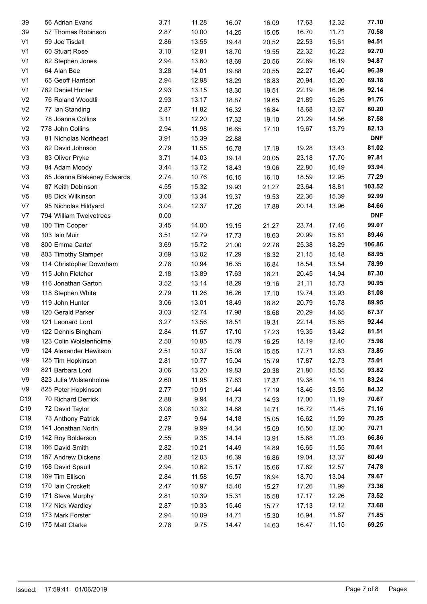| 39              | 56 Adrian Evans            | 3.71 | 11.28 | 16.07 | 16.09          | 17.63 | 12.32 | 77.10      |
|-----------------|----------------------------|------|-------|-------|----------------|-------|-------|------------|
| 39              | 57 Thomas Robinson         | 2.87 | 10.00 | 14.25 | 15.05          | 16.70 | 11.71 | 70.58      |
| V <sub>1</sub>  | 59 Joe Tisdall             | 2.86 | 13.55 | 19.44 | 20.52          | 22.53 | 15.61 | 94.51      |
| V <sub>1</sub>  | 60 Stuart Rose             | 3.10 | 12.81 | 18.70 | 19.55          | 22.32 | 16.22 | 92.70      |
| V <sub>1</sub>  | 62 Stephen Jones           | 2.94 | 13.60 | 18.69 | 20.56          | 22.89 | 16.19 | 94.87      |
| V <sub>1</sub>  | 64 Alan Bee                | 3.28 | 14.01 | 19.88 | 20.55          | 22.27 | 16.40 | 96.39      |
| V <sub>1</sub>  | 65 Geoff Harrison          | 2.94 | 12.98 | 18.29 | 18.83          | 20.94 | 15.20 | 89.18      |
| V <sub>1</sub>  | 762 Daniel Hunter          | 2.93 | 13.15 | 18.30 | 19.51          | 22.19 | 16.06 | 92.14      |
| V <sub>2</sub>  | 76 Roland Woodtli          | 2.93 | 13.17 | 18.87 | 19.65          | 21.89 | 15.25 | 91.76      |
| V <sub>2</sub>  | 77 Ian Standing            | 2.87 | 11.82 | 16.32 | 16.84          | 18.68 | 13.67 | 80.20      |
| V <sub>2</sub>  | 78 Joanna Collins          | 3.11 | 12.20 | 17.32 | 19.10          | 21.29 | 14.56 | 87.58      |
| V <sub>2</sub>  | 778 John Collins           | 2.94 | 11.98 | 16.65 | 17.10          | 19.67 | 13.79 | 82.13      |
| V <sub>3</sub>  | 81 Nicholas Northeast      | 3.91 | 15.39 | 22.88 |                |       |       | <b>DNF</b> |
| V <sub>3</sub>  | 82 David Johnson           | 2.79 | 11.55 | 16.78 | 17.19          | 19.28 | 13.43 | 81.02      |
| V <sub>3</sub>  | 83 Oliver Pryke            | 3.71 | 14.03 | 19.14 | 20.05          | 23.18 | 17.70 | 97.81      |
| V <sub>3</sub>  | 84 Adam Moody              | 3.44 | 13.72 | 18.43 | 19.06          | 22.80 | 16.49 | 93.94      |
| V <sub>3</sub>  | 85 Joanna Blakeney Edwards | 2.74 | 10.76 | 16.15 | 16.10          | 18.59 | 12.95 | 77.29      |
| V <sub>4</sub>  | 87 Keith Dobinson          | 4.55 | 15.32 | 19.93 | 21.27          | 23.64 | 18.81 | 103.52     |
| V <sub>5</sub>  | 88 Dick Wilkinson          | 3.00 | 13.34 | 19.37 | 19.53          | 22.36 | 15.39 | 92.99      |
| V7              | 95 Nicholas Hildyard       | 3.04 | 12.37 | 17.26 | 17.89          | 20.14 | 13.96 | 84.66      |
| V7              | 794 William Twelvetrees    | 0.00 |       |       |                |       |       | <b>DNF</b> |
| V <sub>8</sub>  | 100 Tim Cooper             | 3.45 | 14.00 | 19.15 | 21.27          | 23.74 | 17.46 | 99.07      |
| V <sub>8</sub>  | 103 Iain Muir              | 3.51 | 12.79 | 17.73 | 18.63          | 20.99 | 15.81 | 89.46      |
| V <sub>8</sub>  | 800 Emma Carter            | 3.69 | 15.72 | 21.00 | 22.78          | 25.38 | 18.29 | 106.86     |
| V <sub>8</sub>  | 803 Timothy Stamper        | 3.69 | 13.02 | 17.29 | 18.32          | 21.15 | 15.48 | 88.95      |
| V9              | 114 Christopher Downham    | 2.78 | 10.94 | 16.35 | 16.84          | 18.54 | 13.54 | 78.99      |
| V9              | 115 John Fletcher          | 2.18 | 13.89 | 17.63 | 18.21          | 20.45 | 14.94 | 87.30      |
| V <sub>9</sub>  | 116 Jonathan Garton        | 3.52 | 13.14 | 18.29 | 19.16          | 21.11 | 15.73 | 90.95      |
| V <sub>9</sub>  | 118 Stephen White          | 2.79 | 11.26 | 16.26 | 17.10          | 19.74 | 13.93 | 81.08      |
| V <sub>9</sub>  | 119 John Hunter            | 3.06 | 13.01 | 18.49 | 18.82          | 20.79 | 15.78 | 89.95      |
| V <sub>9</sub>  | 120 Gerald Parker          | 3.03 | 12.74 | 17.98 | 18.68          | 20.29 | 14.65 | 87.37      |
| V9              | 121 Leonard Lord           | 3.27 | 13.56 | 18.51 | 19.31          | 22.14 | 15.65 | 92.44      |
| V <sub>9</sub>  | 122 Dennis Bingham         | 2.84 | 11.57 | 17.10 | 17.23          | 19.35 | 13.42 | 81.51      |
| V9              | 123 Colin Wolstenholme     | 2.50 | 10.85 | 15.79 |                | 18.19 | 12.40 | 75.98      |
| V <sub>9</sub>  | 124 Alexander Hewitson     | 2.51 | 10.37 | 15.08 | 16.25<br>15.55 | 17.71 | 12.63 | 73.85      |
| V9              | 125 Tim Hopkinson          | 2.81 | 10.77 | 15.04 | 15.79          | 17.87 | 12.73 | 75.01      |
| V9              | 821 Barbara Lord           | 3.06 | 13.20 | 19.83 | 20.38          | 21.80 | 15.55 | 93.82      |
| V9              | 823 Julia Wolstenholme     | 2.60 | 11.95 | 17.83 | 17.37          | 19.38 | 14.11 | 83.24      |
| V <sub>9</sub>  | 825 Peter Hopkinson        | 2.77 | 10.91 | 21.44 | 17.19          | 18.46 | 13.55 | 84.32      |
| C <sub>19</sub> | 70 Richard Derrick         | 2.88 | 9.94  | 14.73 | 14.93          | 17.00 | 11.19 | 70.67      |
| C19             | 72 David Taylor            | 3.08 | 10.32 | 14.88 | 14.71          | 16.72 | 11.45 | 71.16      |
| C19             | 73 Anthony Patrick         | 2.87 | 9.94  | 14.18 | 15.05          | 16.62 | 11.59 | 70.25      |
| C19             | 141 Jonathan North         | 2.79 | 9.99  | 14.34 | 15.09          | 16.50 | 12.00 | 70.71      |
| C19             | 142 Roy Bolderson          | 2.55 | 9.35  | 14.14 | 13.91          | 15.88 | 11.03 | 66.86      |
| C19             | 166 David Smith            | 2.82 | 10.21 | 14.49 |                | 16.65 | 11.55 | 70.61      |
| C19             |                            |      |       |       | 14.89          |       | 13.37 | 80.49      |
|                 | 167 Andrew Dickens         | 2.80 | 12.03 | 16.39 | 16.86          | 19.04 |       | 74.78      |
| C19             | 168 David Spaull           | 2.94 | 10.62 | 15.17 | 15.66          | 17.82 | 12.57 |            |
| C19             | 169 Tim Ellison            | 2.84 | 11.58 | 16.57 | 16.94          | 18.70 | 13.04 | 79.67      |
| C <sub>19</sub> | 170 Iain Crockett          | 2.47 | 10.97 | 15.40 | 15.27          | 17.26 | 11.99 | 73.36      |
| C19             | 171 Steve Murphy           | 2.81 | 10.39 | 15.31 | 15.58          | 17.17 | 12.26 | 73.52      |
| C19             | 172 Nick Wardley           | 2.87 | 10.33 | 15.46 | 15.77          | 17.13 | 12.12 | 73.68      |
| C19             | 173 Mark Forster           | 2.94 | 10.09 | 14.71 | 15.30          | 16.94 | 11.87 | 71.85      |
| C19             | 175 Matt Clarke            | 2.78 | 9.75  | 14.47 | 14.63          | 16.47 | 11.15 | 69.25      |